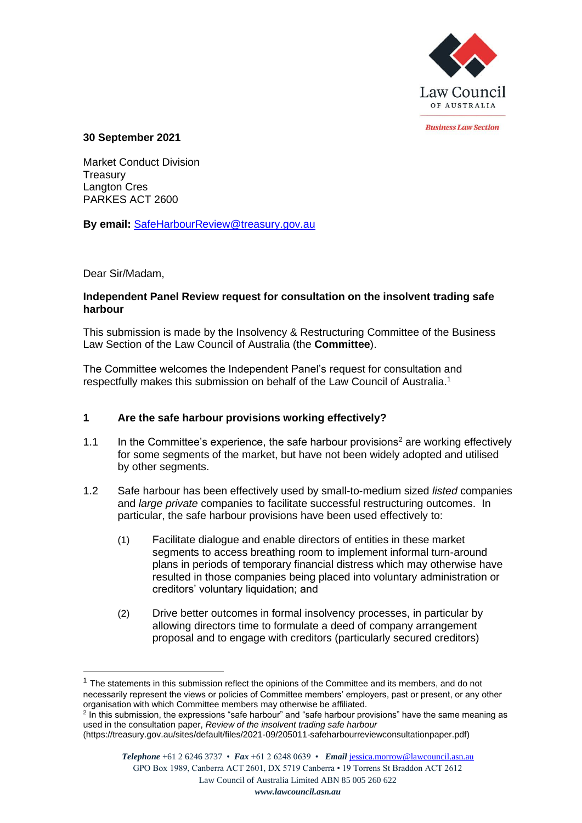

*<u>Rusiness Law Section</u>* 

### **30 September 2021**

Market Conduct Division **Treasury** Langton Cres PARKES ACT 2600

**By email:** [SafeHarbourReview@treasury.gov.au](mailto:SafeHarbourReview@treasury.gov.au)

## Dear Sir/Madam,

### **Independent Panel Review request for consultation on the insolvent trading safe harbour**

This submission is made by the Insolvency & Restructuring Committee of the Business Law Section of the Law Council of Australia (the **Committee**).

The Committee welcomes the Independent Panel's request for consultation and respectfully makes this submission on behalf of the Law Council of Australia.<sup>1</sup>

# **1 Are the safe harbour provisions working effectively?**

- 1.1 In the Committee's experience, the safe harbour provisions<sup>2</sup> are working effectively for some segments of the market, but have not been widely adopted and utilised by other segments.
- 1.2 Safe harbour has been effectively used by small-to-medium sized *listed* companies and *large private* companies to facilitate successful restructuring outcomes. In particular, the safe harbour provisions have been used effectively to:
	- (1) Facilitate dialogue and enable directors of entities in these market segments to access breathing room to implement informal turn-around plans in periods of temporary financial distress which may otherwise have resulted in those companies being placed into voluntary administration or creditors' voluntary liquidation; and
	- (2) Drive better outcomes in formal insolvency processes, in particular by allowing directors time to formulate a deed of company arrangement proposal and to engage with creditors (particularly secured creditors)

 $<sup>1</sup>$  The statements in this submission reflect the opinions of the Committee and its members, and do not</sup> necessarily represent the views or policies of Committee members' employers, past or present, or any other organisation with which Committee members may otherwise be affiliated.

 $2$  In this submission, the expressions "safe harbour" and "safe harbour provisions" have the same meaning as used in the consultation paper, *Review of the insolvent trading safe harbour*

<sup>(</sup>https://treasury.gov.au/sites/default/files/2021-09/205011-safeharbourreviewconsultationpaper.pdf)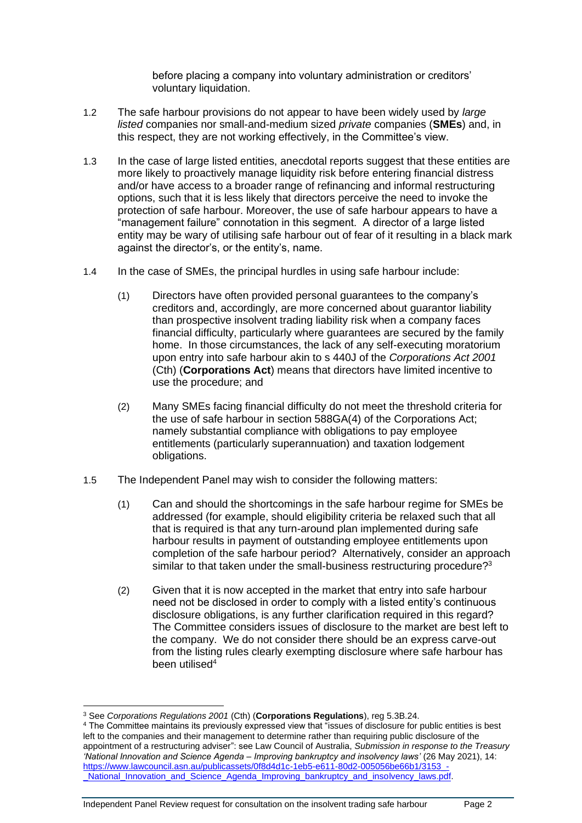before placing a company into voluntary administration or creditors' voluntary liquidation.

- 1.2 The safe harbour provisions do not appear to have been widely used by *large listed* companies nor small-and-medium sized *private* companies (**SMEs**) and, in this respect, they are not working effectively, in the Committee's view.
- 1.3 In the case of large listed entities, anecdotal reports suggest that these entities are more likely to proactively manage liquidity risk before entering financial distress and/or have access to a broader range of refinancing and informal restructuring options, such that it is less likely that directors perceive the need to invoke the protection of safe harbour. Moreover, the use of safe harbour appears to have a "management failure" connotation in this segment. A director of a large listed entity may be wary of utilising safe harbour out of fear of it resulting in a black mark against the director's, or the entity's, name.
- 1.4 In the case of SMEs, the principal hurdles in using safe harbour include:
	- (1) Directors have often provided personal guarantees to the company's creditors and, accordingly, are more concerned about guarantor liability than prospective insolvent trading liability risk when a company faces financial difficulty, particularly where guarantees are secured by the family home. In those circumstances, the lack of any self-executing moratorium upon entry into safe harbour akin to s 440J of the *Corporations Act 2001*  (Cth) (**Corporations Act**) means that directors have limited incentive to use the procedure; and
	- (2) Many SMEs facing financial difficulty do not meet the threshold criteria for the use of safe harbour in section 588GA(4) of the Corporations Act; namely substantial compliance with obligations to pay employee entitlements (particularly superannuation) and taxation lodgement obligations.
- 1.5 The Independent Panel may wish to consider the following matters:
	- (1) Can and should the shortcomings in the safe harbour regime for SMEs be addressed (for example, should eligibility criteria be relaxed such that all that is required is that any turn-around plan implemented during safe harbour results in payment of outstanding employee entitlements upon completion of the safe harbour period? Alternatively, consider an approach similar to that taken under the small-business restructuring procedure?<sup>3</sup>
	- (2) Given that it is now accepted in the market that entry into safe harbour need not be disclosed in order to comply with a listed entity's continuous disclosure obligations, is any further clarification required in this regard? The Committee considers issues of disclosure to the market are best left to the company. We do not consider there should be an express carve-out from the listing rules clearly exempting disclosure where safe harbour has been utilised<sup>4</sup>

<sup>3</sup> See *Corporations Regulations 2001* (Cth) (**Corporations Regulations**), reg 5.3B.24.

<sup>4</sup> The Committee maintains its previously expressed view that "issues of disclosure for public entities is best left to the companies and their management to determine rather than requiring public disclosure of the appointment of a restructuring adviser": see Law Council of Australia, *Submission in response to the Treasury 'National Innovation and Science Agenda – Improving bankruptcy and insolvency laws'* (26 May 2021), 14: https://www.lawcouncil.asn.au/publicassets/0f8d4d1c-1eb5-e611-80d2-005056be66b1/3153 National\_Innovation\_and\_Science\_Agenda\_Improving\_bankruptcy\_and\_insolvency\_laws.pdf.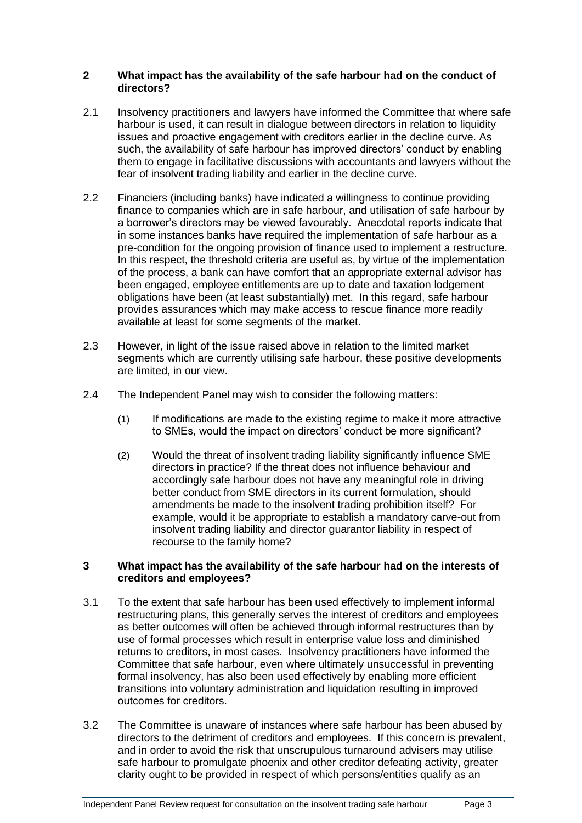## **2 What impact has the availability of the safe harbour had on the conduct of directors?**

- 2.1 Insolvency practitioners and lawyers have informed the Committee that where safe harbour is used, it can result in dialogue between directors in relation to liquidity issues and proactive engagement with creditors earlier in the decline curve. As such, the availability of safe harbour has improved directors' conduct by enabling them to engage in facilitative discussions with accountants and lawyers without the fear of insolvent trading liability and earlier in the decline curve.
- 2.2 Financiers (including banks) have indicated a willingness to continue providing finance to companies which are in safe harbour, and utilisation of safe harbour by a borrower's directors may be viewed favourably. Anecdotal reports indicate that in some instances banks have required the implementation of safe harbour as a pre-condition for the ongoing provision of finance used to implement a restructure. In this respect, the threshold criteria are useful as, by virtue of the implementation of the process, a bank can have comfort that an appropriate external advisor has been engaged, employee entitlements are up to date and taxation lodgement obligations have been (at least substantially) met. In this regard, safe harbour provides assurances which may make access to rescue finance more readily available at least for some segments of the market.
- 2.3 However, in light of the issue raised above in relation to the limited market segments which are currently utilising safe harbour, these positive developments are limited, in our view.
- 2.4 The Independent Panel may wish to consider the following matters:
	- (1) If modifications are made to the existing regime to make it more attractive to SMEs, would the impact on directors' conduct be more significant?
	- (2) Would the threat of insolvent trading liability significantly influence SME directors in practice? If the threat does not influence behaviour and accordingly safe harbour does not have any meaningful role in driving better conduct from SME directors in its current formulation, should amendments be made to the insolvent trading prohibition itself? For example, would it be appropriate to establish a mandatory carve-out from insolvent trading liability and director guarantor liability in respect of recourse to the family home?

#### **3 What impact has the availability of the safe harbour had on the interests of creditors and employees?**

- 3.1 To the extent that safe harbour has been used effectively to implement informal restructuring plans, this generally serves the interest of creditors and employees as better outcomes will often be achieved through informal restructures than by use of formal processes which result in enterprise value loss and diminished returns to creditors, in most cases. Insolvency practitioners have informed the Committee that safe harbour, even where ultimately unsuccessful in preventing formal insolvency, has also been used effectively by enabling more efficient transitions into voluntary administration and liquidation resulting in improved outcomes for creditors.
- 3.2 The Committee is unaware of instances where safe harbour has been abused by directors to the detriment of creditors and employees. If this concern is prevalent, and in order to avoid the risk that unscrupulous turnaround advisers may utilise safe harbour to promulgate phoenix and other creditor defeating activity, greater clarity ought to be provided in respect of which persons/entities qualify as an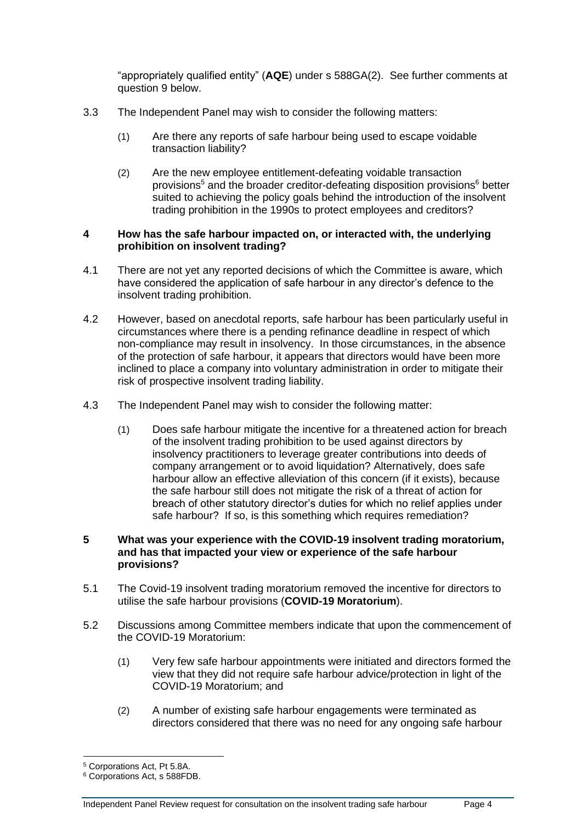"appropriately qualified entity" (**AQE**) under s 588GA(2). See further comments at question 9 below.

- 3.3 The Independent Panel may wish to consider the following matters:
	- (1) Are there any reports of safe harbour being used to escape voidable transaction liability?
	- (2) Are the new employee entitlement-defeating voidable transaction provisions<sup>5</sup> and the broader creditor-defeating disposition provisions<sup>6</sup> better suited to achieving the policy goals behind the introduction of the insolvent trading prohibition in the 1990s to protect employees and creditors?

#### **4 How has the safe harbour impacted on, or interacted with, the underlying prohibition on insolvent trading?**

- 4.1 There are not yet any reported decisions of which the Committee is aware, which have considered the application of safe harbour in any director's defence to the insolvent trading prohibition.
- 4.2 However, based on anecdotal reports, safe harbour has been particularly useful in circumstances where there is a pending refinance deadline in respect of which non-compliance may result in insolvency. In those circumstances, in the absence of the protection of safe harbour, it appears that directors would have been more inclined to place a company into voluntary administration in order to mitigate their risk of prospective insolvent trading liability.
- 4.3 The Independent Panel may wish to consider the following matter:
	- (1) Does safe harbour mitigate the incentive for a threatened action for breach of the insolvent trading prohibition to be used against directors by insolvency practitioners to leverage greater contributions into deeds of company arrangement or to avoid liquidation? Alternatively, does safe harbour allow an effective alleviation of this concern (if it exists), because the safe harbour still does not mitigate the risk of a threat of action for breach of other statutory director's duties for which no relief applies under safe harbour? If so, is this something which requires remediation?

### **5 What was your experience with the COVID-19 insolvent trading moratorium, and has that impacted your view or experience of the safe harbour provisions?**

- 5.1 The Covid-19 insolvent trading moratorium removed the incentive for directors to utilise the safe harbour provisions (**COVID-19 Moratorium**).
- 5.2 Discussions among Committee members indicate that upon the commencement of the COVID-19 Moratorium:
	- (1) Very few safe harbour appointments were initiated and directors formed the view that they did not require safe harbour advice/protection in light of the COVID-19 Moratorium; and
	- (2) A number of existing safe harbour engagements were terminated as directors considered that there was no need for any ongoing safe harbour

<sup>5</sup> Corporations Act, Pt 5.8A.

<sup>6</sup> Corporations Act, s 588FDB.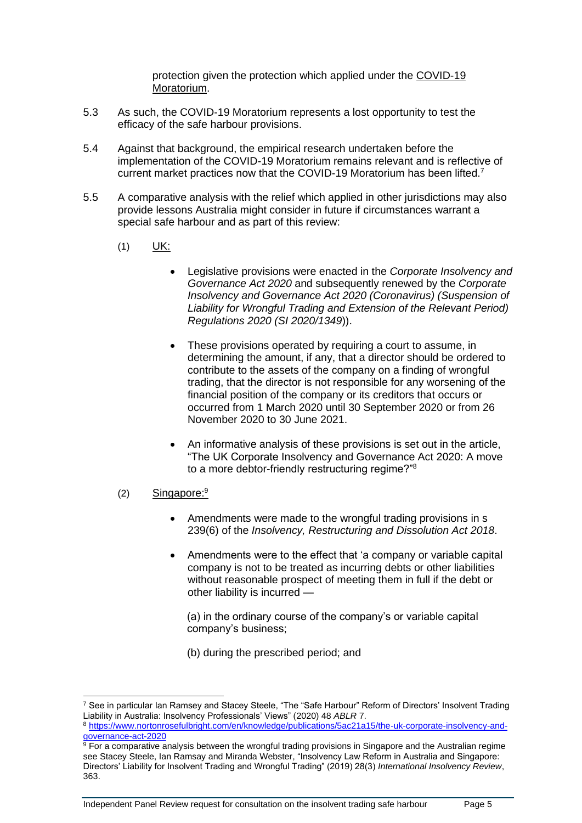protection given the protection which applied under the COVID-19 Moratorium.

- 5.3 As such, the COVID-19 Moratorium represents a lost opportunity to test the efficacy of the safe harbour provisions.
- 5.4 Against that background, the empirical research undertaken before the implementation of the COVID-19 Moratorium remains relevant and is reflective of current market practices now that the COVID-19 Moratorium has been lifted.<sup>7</sup>
- 5.5 A comparative analysis with the relief which applied in other jurisdictions may also provide lessons Australia might consider in future if circumstances warrant a special safe harbour and as part of this review:
	- (1) UK:
		- Legislative provisions were enacted in the *Corporate Insolvency and Governance Act 2020* and subsequently renewed by the *Corporate Insolvency and Governance Act 2020 (Coronavirus) (Suspension of Liability for Wrongful Trading and Extension of the Relevant Period) Regulations 2020 (SI 2020/1349*)).
		- These provisions operated by requiring a court to assume, in determining the amount, if any, that a director should be ordered to contribute to the assets of the company on a finding of wrongful trading, that the director is not responsible for any worsening of the financial position of the company or its creditors that occurs or occurred from 1 March 2020 until 30 September 2020 or from 26 November 2020 to 30 June 2021.
		- An informative analysis of these provisions is set out in the article, "The UK Corporate Insolvency and Governance Act 2020: A move to a more debtor-friendly restructuring regime?"<sup>8</sup>
	- (2) Singapore:<sup>9</sup>
		- Amendments were made to the wrongful trading provisions in s 239(6) of the *Insolvency, Restructuring and Dissolution Act 2018*.
		- Amendments were to the effect that 'a company or variable capital company is not to be treated as incurring debts or other liabilities without reasonable prospect of meeting them in full if the debt or other liability is incurred —

(a) in the ordinary course of the company's or variable capital company's business;

(b) during the prescribed period; and

8 [https://www.nortonrosefulbright.com/en/knowledge/publications/5ac21a15/the-uk-corporate-insolvency-and](https://www.nortonrosefulbright.com/en/knowledge/publications/5ac21a15/the-uk-corporate-insolvency-and-governance-act-2020)[governance-act-2020](https://www.nortonrosefulbright.com/en/knowledge/publications/5ac21a15/the-uk-corporate-insolvency-and-governance-act-2020)

<sup>7</sup> See in particular Ian Ramsey and Stacey Steele, "The "Safe Harbour" Reform of Directors' Insolvent Trading Liability in Australia: Insolvency Professionals' Views" (2020) 48 *ABLR* 7.

<sup>&</sup>lt;sup>9</sup> For a comparative analysis between the wrongful trading provisions in Singapore and the Australian regime see Stacey Steele, Ian Ramsay and Miranda Webster, "Insolvency Law Reform in Australia and Singapore: Directors' Liability for Insolvent Trading and Wrongful Trading" (2019) 28(3) *International Insolvency Review*, 363.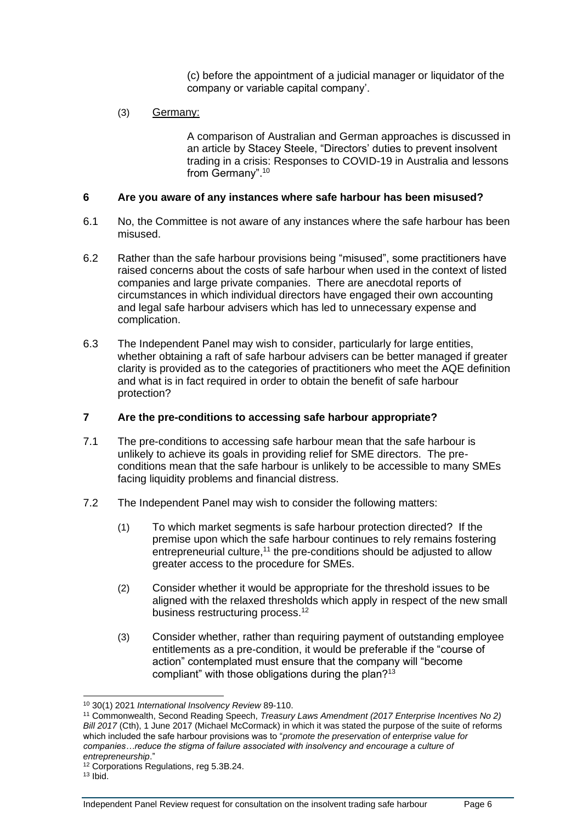(c) before the appointment of a judicial manager or liquidator of the company or variable capital company'.

### (3) Germany:

A comparison of Australian and German approaches is discussed in an article by Stacey Steele, "Directors' duties to prevent insolvent trading in a crisis: Responses to COVID-19 in Australia and lessons from Germany". 10

#### **6 Are you aware of any instances where safe harbour has been misused?**

- 6.1 No, the Committee is not aware of any instances where the safe harbour has been misused.
- 6.2 Rather than the safe harbour provisions being "misused", some practitioners have raised concerns about the costs of safe harbour when used in the context of listed companies and large private companies. There are anecdotal reports of circumstances in which individual directors have engaged their own accounting and legal safe harbour advisers which has led to unnecessary expense and complication.
- 6.3 The Independent Panel may wish to consider, particularly for large entities, whether obtaining a raft of safe harbour advisers can be better managed if greater clarity is provided as to the categories of practitioners who meet the AQE definition and what is in fact required in order to obtain the benefit of safe harbour protection?

## **7 Are the pre-conditions to accessing safe harbour appropriate?**

- 7.1 The pre-conditions to accessing safe harbour mean that the safe harbour is unlikely to achieve its goals in providing relief for SME directors. The preconditions mean that the safe harbour is unlikely to be accessible to many SMEs facing liquidity problems and financial distress.
- 7.2 The Independent Panel may wish to consider the following matters:
	- (1) To which market segments is safe harbour protection directed? If the premise upon which the safe harbour continues to rely remains fostering entrepreneurial culture, $11$  the pre-conditions should be adjusted to allow greater access to the procedure for SMEs.
	- (2) Consider whether it would be appropriate for the threshold issues to be aligned with the relaxed thresholds which apply in respect of the new small business restructuring process.<sup>12</sup>
	- (3) Consider whether, rather than requiring payment of outstanding employee entitlements as a pre-condition, it would be preferable if the "course of action" contemplated must ensure that the company will "become compliant" with those obligations during the plan?<sup>13</sup>

<span id="page-5-0"></span><sup>10</sup> 30(1) 2021 *International Insolvency Review* 89-110.

<sup>11</sup> Commonwealth, Second Reading Speech, *Treasury Laws Amendment (2017 Enterprise Incentives No 2) Bill 2017* (Cth), 1 June 2017 (Michael McCormack) in which it was stated the purpose of the suite of reforms which included the safe harbour provisions was to "*promote the preservation of enterprise value for companies…reduce the stigma of failure associated with insolvency and encourage a culture of entrepreneurship*."

<sup>12</sup> Corporations Regulations, reg 5.3B.24.

 $13$  Ibid.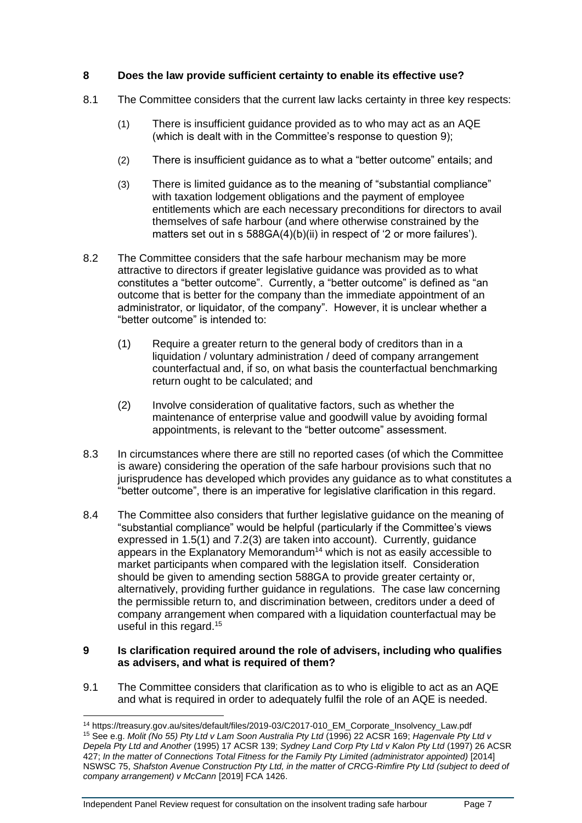# **8 Does the law provide sufficient certainty to enable its effective use?**

- 8.1 The Committee considers that the current law lacks certainty in three key respects:
	- (1) There is insufficient guidance provided as to who may act as an AQE (which is dealt with in the Committee's response to question 9);
	- (2) There is insufficient guidance as to what a "better outcome" entails; and
	- (3) There is limited guidance as to the meaning of "substantial compliance" with taxation lodgement obligations and the payment of employee entitlements which are each necessary preconditions for directors to avail themselves of safe harbour (and where otherwise constrained by the matters set out in s 588GA(4)(b)(ii) in respect of '2 or more failures').
- 8.2 The Committee considers that the safe harbour mechanism may be more attractive to directors if greater legislative guidance was provided as to what constitutes a "better outcome". Currently, a "better outcome" is defined as "an outcome that is better for the company than the immediate appointment of an administrator, or liquidator, of the company". However, it is unclear whether a "better outcome" is intended to:
	- (1) Require a greater return to the general body of creditors than in a liquidation / voluntary administration / deed of company arrangement counterfactual and, if so, on what basis the counterfactual benchmarking return ought to be calculated; and
	- (2) Involve consideration of qualitative factors, such as whether the maintenance of enterprise value and goodwill value by avoiding formal appointments, is relevant to the "better outcome" assessment.
- 8.3 In circumstances where there are still no reported cases (of which the Committee is aware) considering the operation of the safe harbour provisions such that no jurisprudence has developed which provides any guidance as to what constitutes a "better outcome", there is an imperative for legislative clarification in this regard.
- 8.4 The Committee also considers that further legislative guidance on the meaning of "substantial compliance" would be helpful (particularly if the Committee's views expressed in 1.5(1) and 7.[2\(3\)](#page-5-0) are taken into account). Currently, guidance appears in the Explanatory Memorandum<sup>14</sup> which is not as easily accessible to market participants when compared with the legislation itself. Consideration should be given to amending section 588GA to provide greater certainty or, alternatively, providing further guidance in regulations. The case law concerning the permissible return to, and discrimination between, creditors under a deed of company arrangement when compared with a liquidation counterfactual may be useful in this regard.<sup>15</sup>

## **9 Is clarification required around the role of advisers, including who qualifies as advisers, and what is required of them?**

9.1 The Committee considers that clarification as to who is eligible to act as an AQE and what is required in order to adequately fulfil the role of an AQE is needed.

<sup>14</sup> https://treasury.gov.au/sites/default/files/2019-03/C2017-010\_EM\_Corporate\_Insolvency\_Law.pdf <sup>15</sup> See e.g. *Molit (No 55) Pty Ltd v Lam Soon Australia Pty Ltd* (1996) 22 ACSR 169; *Hagenvale Pty Ltd v Depela Pty Ltd and Another* (1995) 17 ACSR 139; *Sydney Land Corp Pty Ltd v Kalon Pty Ltd* (1997) 26 ACSR 427; *In the matter of Connections Total Fitness for the Family Pty Limited (administrator appointed)* [2014] NSWSC 75, *Shafston Avenue Construction Pty Ltd, in the matter of CRCG-Rimfire Pty Ltd (subject to deed of company arrangement) v McCann* [2019] FCA 1426.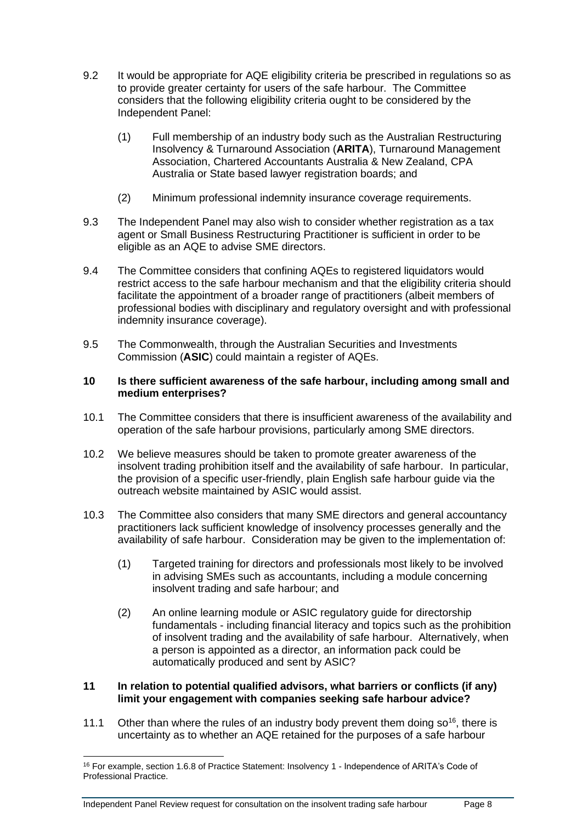- 9.2 It would be appropriate for AQE eligibility criteria be prescribed in regulations so as to provide greater certainty for users of the safe harbour. The Committee considers that the following eligibility criteria ought to be considered by the Independent Panel:
	- (1) Full membership of an industry body such as the Australian Restructuring Insolvency & Turnaround Association (**ARITA**), Turnaround Management Association, Chartered Accountants Australia & New Zealand, CPA Australia or State based lawyer registration boards; and
	- (2) Minimum professional indemnity insurance coverage requirements.
- 9.3 The Independent Panel may also wish to consider whether registration as a tax agent or Small Business Restructuring Practitioner is sufficient in order to be eligible as an AQE to advise SME directors.
- 9.4 The Committee considers that confining AQEs to registered liquidators would restrict access to the safe harbour mechanism and that the eligibility criteria should facilitate the appointment of a broader range of practitioners (albeit members of professional bodies with disciplinary and regulatory oversight and with professional indemnity insurance coverage).
- 9.5 The Commonwealth, through the Australian Securities and Investments Commission (**ASIC**) could maintain a register of AQEs.

## **10 Is there sufficient awareness of the safe harbour, including among small and medium enterprises?**

- 10.1 The Committee considers that there is insufficient awareness of the availability and operation of the safe harbour provisions, particularly among SME directors.
- 10.2 We believe measures should be taken to promote greater awareness of the insolvent trading prohibition itself and the availability of safe harbour. In particular, the provision of a specific user-friendly, plain English safe harbour guide via the outreach website maintained by ASIC would assist.
- 10.3 The Committee also considers that many SME directors and general accountancy practitioners lack sufficient knowledge of insolvency processes generally and the availability of safe harbour. Consideration may be given to the implementation of:
	- (1) Targeted training for directors and professionals most likely to be involved in advising SMEs such as accountants, including a module concerning insolvent trading and safe harbour; and
	- (2) An online learning module or ASIC regulatory guide for directorship fundamentals - including financial literacy and topics such as the prohibition of insolvent trading and the availability of safe harbour. Alternatively, when a person is appointed as a director, an information pack could be automatically produced and sent by ASIC?

## **11 In relation to potential qualified advisors, what barriers or conflicts (if any) limit your engagement with companies seeking safe harbour advice?**

11.1 Other than where the rules of an industry body prevent them doing  $\delta$  o<sup>16</sup>, there is uncertainty as to whether an AQE retained for the purposes of a safe harbour

<sup>&</sup>lt;sup>16</sup> For example, section 1.6.8 of Practice Statement: Insolvency 1 - Independence of ARITA's Code of Professional Practice.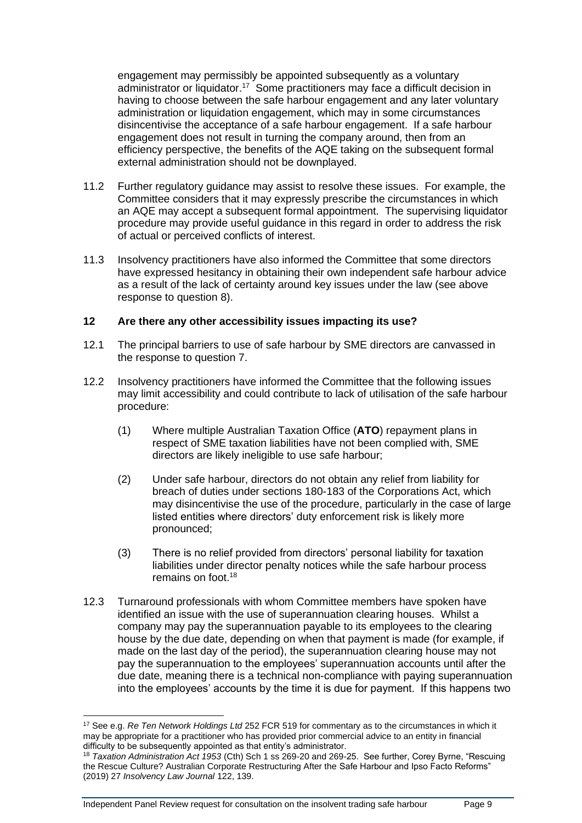engagement may permissibly be appointed subsequently as a voluntary administrator or liquidator.<sup>17</sup> Some practitioners may face a difficult decision in having to choose between the safe harbour engagement and any later voluntary administration or liquidation engagement, which may in some circumstances disincentivise the acceptance of a safe harbour engagement. If a safe harbour engagement does not result in turning the company around, then from an efficiency perspective, the benefits of the AQE taking on the subsequent formal external administration should not be downplayed.

- 11.2 Further regulatory guidance may assist to resolve these issues. For example, the Committee considers that it may expressly prescribe the circumstances in which an AQE may accept a subsequent formal appointment. The supervising liquidator procedure may provide useful guidance in this regard in order to address the risk of actual or perceived conflicts of interest.
- 11.3 Insolvency practitioners have also informed the Committee that some directors have expressed hesitancy in obtaining their own independent safe harbour advice as a result of the lack of certainty around key issues under the law (see above response to question 8).

## **12 Are there any other accessibility issues impacting its use?**

- 12.1 The principal barriers to use of safe harbour by SME directors are canvassed in the response to question 7.
- 12.2 Insolvency practitioners have informed the Committee that the following issues may limit accessibility and could contribute to lack of utilisation of the safe harbour procedure:
	- (1) Where multiple Australian Taxation Office (**ATO**) repayment plans in respect of SME taxation liabilities have not been complied with, SME directors are likely ineligible to use safe harbour;
	- (2) Under safe harbour, directors do not obtain any relief from liability for breach of duties under sections 180-183 of the Corporations Act, which may disincentivise the use of the procedure, particularly in the case of large listed entities where directors' duty enforcement risk is likely more pronounced;
	- (3) There is no relief provided from directors' personal liability for taxation liabilities under director penalty notices while the safe harbour process remains on foot.<sup>18</sup>
- 12.3 Turnaround professionals with whom Committee members have spoken have identified an issue with the use of superannuation clearing houses. Whilst a company may pay the superannuation payable to its employees to the clearing house by the due date, depending on when that payment is made (for example, if made on the last day of the period), the superannuation clearing house may not pay the superannuation to the employees' superannuation accounts until after the due date, meaning there is a technical non-compliance with paying superannuation into the employees' accounts by the time it is due for payment. If this happens two

<sup>17</sup> See e.g. *Re Ten Network Holdings Ltd* 252 FCR 519 for commentary as to the circumstances in which it may be appropriate for a practitioner who has provided prior commercial advice to an entity in financial difficulty to be subsequently appointed as that entity's administrator.

<sup>18</sup> *Taxation Administration Act 1953* (Cth) Sch 1 ss 269-20 and 269-25. See further, Corey Byrne, "Rescuing the Rescue Culture? Australian Corporate Restructuring After the Safe Harbour and Ipso Facto Reforms" (2019) 27 *Insolvency Law Journal* 122, 139.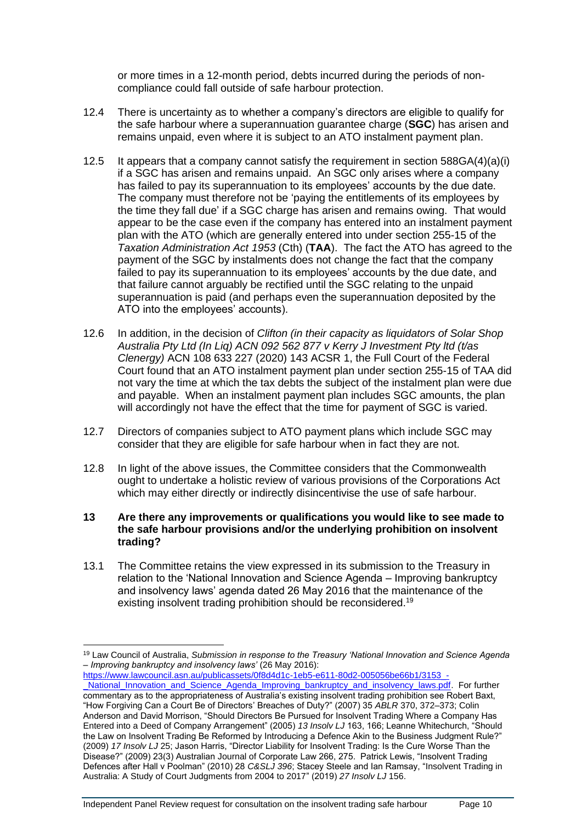or more times in a 12-month period, debts incurred during the periods of noncompliance could fall outside of safe harbour protection.

- 12.4 There is uncertainty as to whether a company's directors are eligible to qualify for the safe harbour where a superannuation guarantee charge (**SGC**) has arisen and remains unpaid, even where it is subject to an ATO instalment payment plan.
- 12.5 It appears that a company cannot satisfy the requirement in section  $588GA(4)(a)(i)$ if a SGC has arisen and remains unpaid. An SGC only arises where a company has failed to pay its superannuation to its employees' accounts by the due date. The company must therefore not be 'paying the entitlements of its employees by the time they fall due' if a SGC charge has arisen and remains owing. That would appear to be the case even if the company has entered into an instalment payment plan with the ATO (which are generally entered into under section 255-15 of the *Taxation Administration Act 1953* (Cth) (**TAA**). The fact the ATO has agreed to the payment of the SGC by instalments does not change the fact that the company failed to pay its superannuation to its employees' accounts by the due date, and that failure cannot arguably be rectified until the SGC relating to the unpaid superannuation is paid (and perhaps even the superannuation deposited by the ATO into the employees' accounts).
- 12.6 In addition, in the decision of *Clifton (in their capacity as liquidators of Solar Shop Australia Pty Ltd (In Liq) ACN 092 562 877 v Kerry J Investment Pty ltd (t/as Clenergy)* ACN 108 633 227 (2020) 143 ACSR 1, the Full Court of the Federal Court found that an ATO instalment payment plan under section 255-15 of TAA did not vary the time at which the tax debts the subject of the instalment plan were due and payable. When an instalment payment plan includes SGC amounts, the plan will accordingly not have the effect that the time for payment of SGC is varied.
- 12.7 Directors of companies subject to ATO payment plans which include SGC may consider that they are eligible for safe harbour when in fact they are not.
- 12.8 In light of the above issues, the Committee considers that the Commonwealth ought to undertake a holistic review of various provisions of the Corporations Act which may either directly or indirectly disincentivise the use of safe harbour.
- **13 Are there any improvements or qualifications you would like to see made to the safe harbour provisions and/or the underlying prohibition on insolvent trading?**
- 13.1 The Committee retains the view expressed in its submission to the Treasury in relation to the 'National Innovation and Science Agenda – Improving bankruptcy and insolvency laws' agenda dated 26 May 2016 that the maintenance of the existing insolvent trading prohibition should be reconsidered.<sup>19</sup>

[https://www.lawcouncil.asn.au/publicassets/0f8d4d1c-1eb5-e611-80d2-005056be66b1/3153\\_-](https://www.lawcouncil.asn.au/publicassets/0f8d4d1c-1eb5-e611-80d2-005056be66b1/3153_-_National_Innovation_and_Science_Agenda_Improving_bankruptcy_and_insolvency_laws.pdf) National\_Innovation\_and\_Science\_Agenda\_Improving\_bankruptcy\_and\_insolvency\_laws.pdf. For further commentary as to the appropriateness of Australia's existing insolvent trading prohibition see Robert Baxt, "How Forgiving Can a Court Be of Directors' Breaches of Duty?" (2007) 35 *ABLR* 370, 372–373; Colin Anderson and David Morrison, "Should Directors Be Pursued for Insolvent Trading Where a Company Has Entered into a Deed of Company Arrangement" (2005) *13 Insolv LJ* 163, 166; Leanne Whitechurch, "Should the Law on Insolvent Trading Be Reformed by Introducing a Defence Akin to the Business Judgment Rule?" (2009) *17 Insolv LJ* 25; Jason Harris, "Director Liability for Insolvent Trading: Is the Cure Worse Than the Disease?" (2009) 23(3) Australian Journal of Corporate Law 266, 275. Patrick Lewis, "Insolvent Trading Defences after Hall v Poolman" (2010) 28 *C&SLJ 396*; Stacey Steele and Ian Ramsay, "Insolvent Trading in Australia: A Study of Court Judgments from 2004 to 2017" (2019) *27 Insolv LJ* 156.

<sup>19</sup> Law Council of Australia, *Submission in response to the Treasury 'National Innovation and Science Agenda – Improving bankruptcy and insolvency laws'* (26 May 2016):